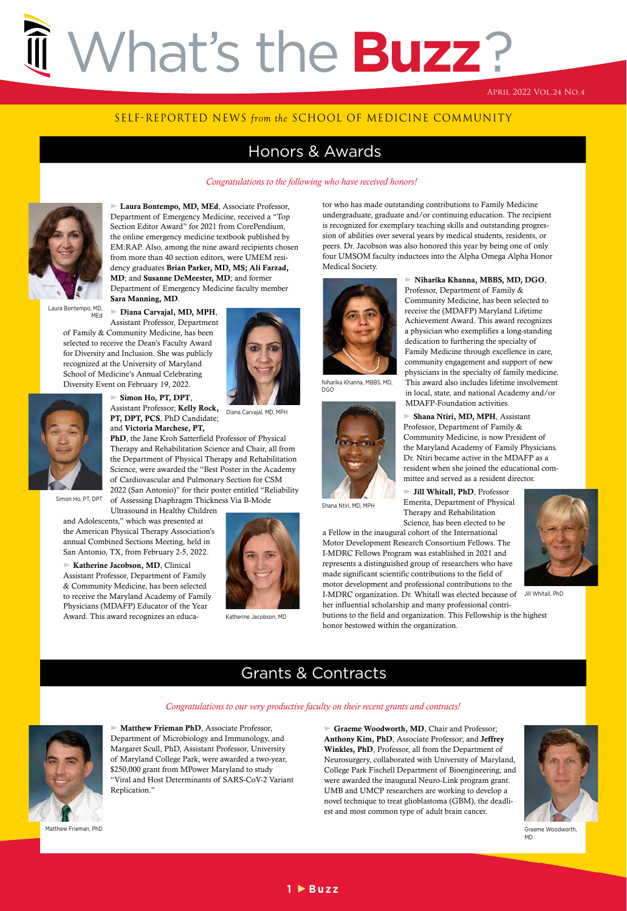## **1** <sup>W</sup> **Buzz**

## Self-Reported News *from the* School of Medicine Community

# What's the **Buzz**?

## Grants & Contracts

*Congratulations to our very productive faculty on their recent grants and contracts!* 



**Matthew Frieman PhD**, Associate Professor, Department of Microbiology and Immunology, and Margaret Scull, PhD, Assistant Professor, University of Maryland College Park, were awarded a two-year, \$250,000 grant from MPower Maryland to study "Viral and Host Determinants of SARS-CoV-2 Variant Replication."

J **Graeme Woodworth, MD**, Chair and Professor; **Anthony Kim, PhD**, Associate Professor; and **Jeffrey Winkles, PhD**, Professor, all from the Department of Neurosurgery, collaborated with University of Maryland, College Park Fischell Department of Bioengineering, and were awarded the inaugural Neuro-Link program grant. UMB and UMCP researchers are working to develop a novel technique to treat glioblastoma (GBM), the deadliest and most common type of adult brain cancer.



# Honors & Awards

J **Laura Bontempo, MD, MEd**, Associate Professor, Department of Emergency Medicine, received a "Top Section Editor Award" for 2021 from CorePendium, the online emergency medicine textbook published by EM:RAP. Also, among the nine award recipients chosen from more than 40 section editors, were UMEM residency graduates **Brian Parker, MD, MS; Ali Farzad, MD**; and **Susanne DeMeester, MD**; and former Department of Emergency Medicine faculty member **Sara Manning, MD**.

**Katherine Jacobson, MD**, Clinical Assistant Professor, Department of Family & Community Medicine, has been selected to receive the Maryland Academy of Family Physicians (MDAFP) Educator of the Year Award. This award recognizes an educa-



J **Diana Carvajal, MD, MPH**, Assistant Professor, Department

of Family & Community Medicine, has been selected to receive the Dean's Faculty Award for Diversity and Inclusion. She was publicly recognized at the University of Maryland School of Medicine's Annual Celebrating Diversity Event on February 19, 2022.



J **Simon Ho, PT, DPT**, Assistant Professor; **Kelly Rock, PT, DPT, PCS**, PhD Candidate; and **Victoria Marchese, PT,** 

**PhD**, the Jane Kroh Satterfield Professor of Physical Therapy and Rehabilitation Science and Chair, all from the Department of Physical Therapy and Rehabilitation Science, were awarded the "Best Poster in the Academy of Cardiovascular and Pulmonary Section for CSM 2022 (San Antonio)" for their poster entitled "Reliability of Assessing Diaphragm Thickness Via B-Mode

Ultrasound in Healthy Children and Adolescents," which was presented at the American Physical Therapy Association's annual Combined Sections Meeting, held in San Antonio, TX, from February 2-5, 2022.

## *Congratulations to the following who have received honors!*



tor who has made outstanding contributions to Family Medicine undergraduate, graduate and/or continuing education. The recipient is recognized for exemplary teaching skills and outstanding progression of abilities over several years by medical students, residents, or peers. Dr. Jacobson was also honored this year by being one of only four UMSOM faculty inductees into the Alpha Omega Alpha Honor Medical Society.



J **Shana Ntiri, MD, MPH**, Assistant Professor, Department of Family & Community Medicine, is now President of the Maryland Academy of Family Physicians. Dr. Ntiri became active in the MDAFP as a resident when she joined the educational committee and served as a resident director.

J **Jill Whitall, PhD**, Professor Emerita, Department of Physical Therapy and Rehabilitation

Science, has been elected to be a Fellow in the inaugural cohort of the International Motor Development Research Consortium Fellows. The I-MDRC Fellows Program was established in 2021 and represents a distinguished group of researchers who have made significant scientific contributions to the field of motor development and professional contributions to the I-MDRC organization. Dr. Whitall was elected because of Jill Whitall, PhD

her influential scholarship and many professional contributions to the field and organization. This Fellowship is the highest honor bestowed within the organization.

Laura Bontempo, MD, MEd

Diana Carvajal, MD, MPH

Simon Ho, PT, DPT

Katherine Jacobson, MD



Niharika Khanna, MBBS, MD, DGO



Shana Ntiri, MD, MPH

Matthew Frieman, PhD Graeme Woodworth,

MD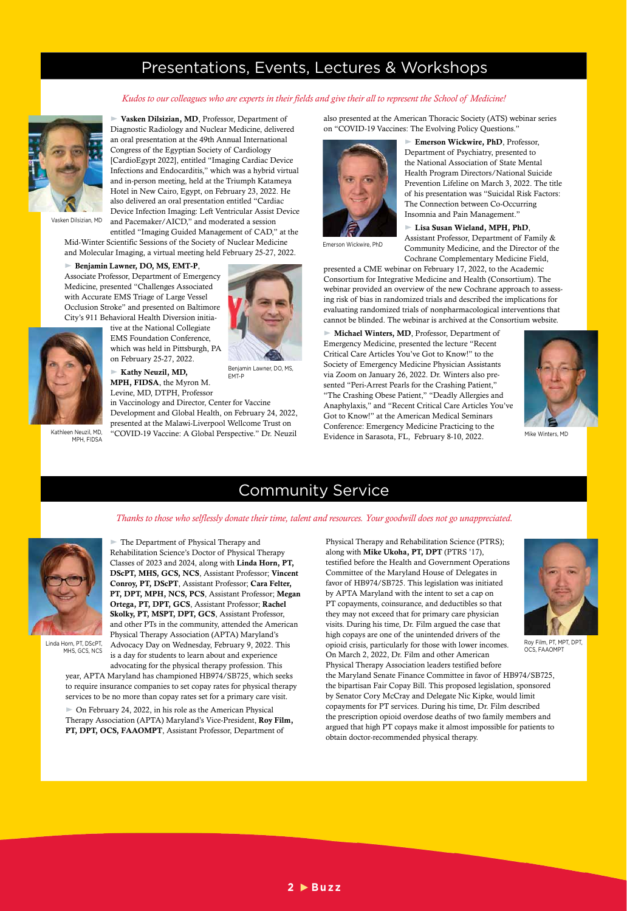## Presentations, Events, Lectures & Workshops

▶ Vasken Dilsizian, MD, Professor, Department of Diagnostic Radiology and Nuclear Medicine, delivered an oral presentation at the 49th Annual International Congress of the Egyptian Society of Cardiology [CardioEgypt 2022], entitled "Imaging Cardiac Device Infections and Endocarditis," which was a hybrid virtual and in-person meeting, held at the Triumph Katameya Hotel in New Cairo, Egypt, on February 23, 2022. He also delivered an oral presentation entitled "Cardiac Device Infection Imaging: Left Ventricular Assist Device and Pacemaker/AICD," and moderated a session

**Example 12 Kathy Neuzil, MD, MPH, FIDSA**, the Myron M. Levine, MD, DTPH, Professor

entitled "Imaging Guided Management of CAD," at the Mid-Winter Scientific Sessions of the Society of Nuclear Medicine and Molecular Imaging, a virtual meeting held February 25-27, 2022.

## **Benjamin Lawner, DO, MS, EMT-P.**

Associate Professor, Department of Emergency Medicine, presented "Challenges Associated with Accurate EMS Triage of Large Vessel Occlusion Stroke" and presented on Baltimore City's 911 Behavioral Health Diversion initia-



**Emerson Wickwire, PhD**, Professor, Department of Psychiatry, presented to the National Association of State Mental Health Program Directors/National Suicide Prevention Lifeline on March 3, 2022. The title of his presentation was "Suicidal Risk Factors: The Connection between Co-Occurring Insomnia and Pain Management."

**Example 2 Exchange Exchange I** Lisa Susan Wieland, MPH, PhD, Assistant Professor, Department of Family & Community Medicine, and the Director of the Cochrane Complementary Medicine Field,

tive at the National Collegiate EMS Foundation Conference, which was held in Pittsburgh, PA on February 25-27, 2022.

in Vaccinology and Director, Center for Vaccine Development and Global Health, on February 24, 2022, presented at the Malawi-Liverpool Wellcome Trust on

*Kudos to our colleagues who are experts in their fields and give their all to represent the School of Medicine!* 



Kathleen Neuzil, MD, "COVID-19 Vaccine: A Global Perspective." Dr. Neuzil Evidence in Sarasota, FL, February 8-10, 2022.  $\blacktriangleright$  **Michael Winters, MD**, Professor, Department of Emergency Medicine, presented the lecture "Recent Critical Care Articles You've Got to Know!" to the Society of Emergency Medicine Physician Assistants via Zoom on January 26, 2022. Dr. Winters also presented "Peri-Arrest Pearls for the Crashing Patient," "The Crashing Obese Patient," "Deadly Allergies and Anaphylaxis," and "Recent Critical Care Articles You've Got to Know!" at the American Medical Seminars Conference: Emergency Medicine Practicing to the

also presented at the American Thoracic Society (ATS) webinar series on "COVID-19 Vaccines: The Evolving Policy Questions."

 $\blacktriangleright$  The Department of Physical Therapy and Rehabilitation Science's Doctor of Physical Therapy Classes of 2023 and 2024, along with **Linda Horn, PT, DScPT, MHS, GCS, NCS**, Assistant Professor; **Vincent Conroy, PT, DScPT**, Assistant Professor; **Cara Felter, PT, DPT, MPH, NCS, PCS**, Assistant Professor; **Megan Ortega, PT, DPT, GCS**, Assistant Professor; **Rachel Skolky, PT, MSPT, DPT, GCS**, Assistant Professor, and other PTs in the community, attended the American Physical Therapy Association (APTA) Maryland's Advocacy Day on Wednesday, February 9, 2022. This is a day for students to learn about and experience

presented a CME webinar on February 17, 2022, to the Academic Consortium for Integrative Medicine and Health (Consortium). The webinar provided an overview of the new Cochrane approach to assessing risk of bias in randomized trials and described the implications for evaluating randomized trials of nonpharmacological interventions that

cannot be blinded. The webinar is archived at the Consortium website.

MPH, FIDSA



## *Thanks to those who selflessly donate their time, talent and resources. Your goodwill does not go unappreciated.*

## Community Service

advocating for the physical therapy profession. This year, APTA Maryland has championed HB974/SB725, which seeks to require insurance companies to set copay rates for physical therapy services to be no more than copay rates set for a primary care visit.

On February 24, 2022, in his role as the American Physical

Therapy Association (APTA) Maryland's Vice-President, **Roy Film, PT, DPT, OCS, FAAOMPT**, Assistant Professor, Department of

Physical Therapy and Rehabilitation Science (PTRS); along with **Mike Ukoha, PT, DPT** (PTRS '17), testified before the Health and Government Operations Committee of the Maryland House of Delegates in favor of HB974/SB725. This legislation was initiated by APTA Maryland with the intent to set a cap on PT copayments, coinsurance, and deductibles so that they may not exceed that for primary care physician visits. During his time, Dr. Film argued the case that high copays are one of the unintended drivers of the opioid crisis, particularly for those with lower incomes. On March 2, 2022, Dr. Film and other American Physical Therapy Association leaders testified before the Maryland Senate Finance Committee in favor of HB974/SB725, the bipartisan Fair Copay Bill. This proposed legislation, sponsored by Senator Cory McCray and Delegate Nic Kipke, would limit

copayments for PT services. During his time, Dr. Film described

## $2 \triangleright$  **Buzz**

the prescription opioid overdose deaths of two family members and argued that high PT copays make it almost impossible for patients to obtain doctor-recommended physical therapy.

Vasken Dilsizian, MD



Benjamin Lawner, DO, MS, EMT-P



Mike Winters, MD



Linda Horn, PT, DScPT, MHS, GCS, NCS



Roy Film, PT, MPT, DPT, OCS, FAAOMPT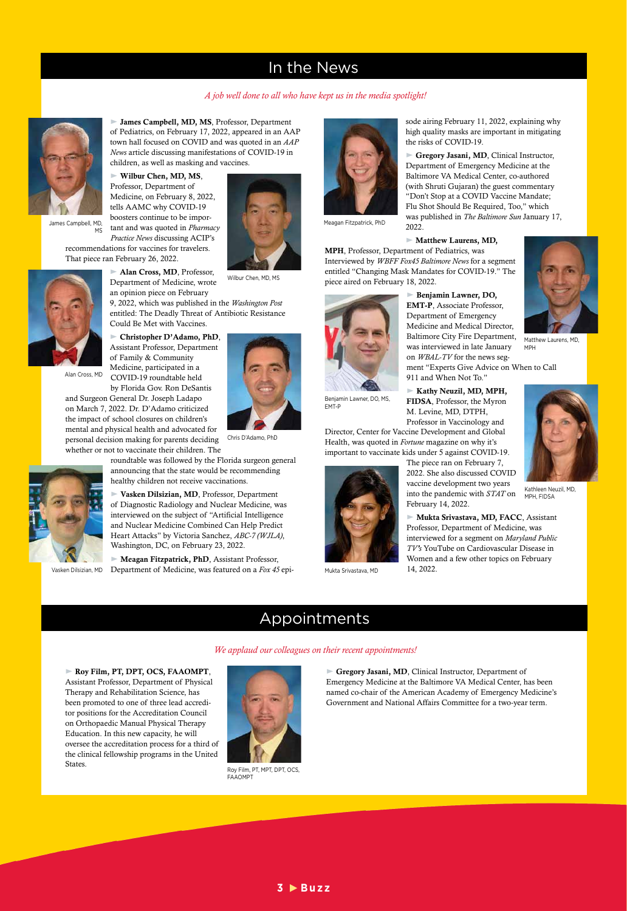

## *A job well done to all who have kept us in the media spotlight!*



## In the News

 $\blacktriangleright$  James Campbell, MD, MS, Professor, Department of Pediatrics, on February 17, 2022, appeared in an AAP town hall focused on COVID and was quoted in an *AAP News* article discussing manifestations of COVID-19 in children, as well as masking and vaccines.

**Wilbur Chen, MD, MS,** Professor, Department of Medicine, on February 8, 2022, tells AAMC why COVID-19 boosters continue to be important and was quoted in *Pharmacy* 

**Fig. 2.5 °Christopher D'Adamo, PhD,** Assistant Professor, Department of Family & Community Medicine, participated in a COVID-19 roundtable held

*Practice News* discussing ACIP's recommendations for vaccines for travelers. That piece ran February 26, 2022.

> Department of Medicine, wrote an opinion piece on February 9, 2022, which was published in the *Washington Post* entitled: The Deadly Threat of Antibiotic Resistance Could Be Met with Vaccines.

Alan Cross, MD, Professor,

Vasken Dilsizian, MD, Professor, Department of Diagnostic Radiology and Nuclear Medicine, was interviewed on the subject of "Artificial Intelligence and Nuclear Medicine Combined Can Help Predict Heart Attacks" by Victoria Sanchez, *ABC-7 (WJLA)*, Washington, DC, on February 23, 2022.

**Meagan Fitzpatrick, PhD**, Assistant Professor, Department of Medicine, was featured on a *Fox 45* epi-

by Florida Gov. Ron DeSantis and Surgeon General Dr. Joseph Ladapo on March 7, 2022. Dr. D'Adamo criticized the impact of school closures on children's mental and physical health and advocated for

Gregory Jasani, MD, Clinical Instructor, Department of Emergency Medicine at the Baltimore VA Medical Center, co-authored (with Shruti Gujaran) the guest commentary "Don't Stop at a COVID Vaccine Mandate; Flu Shot Should Be Required, Too," which was published in *The Baltimore Sun* January 17, 2022.

**Matthew Laurens, MD,** 

personal decision making for parents deciding whether or not to vaccinate their children. The



ment "Experts Give Advice on When to Call 911 and When Not To." **Kathy Neuzil, MD, MPH,** 

roundtable was followed by the Florida surgeon general announcing that the state would be recommending healthy children not receive vaccinations.

> $\blacktriangleright$  Mukta Srivastava, MD, FACC, Assistant interviewed for a segment on *Maryland Public TV's* YouTube on Cardiovascular Disease in 14, 2022.

sode airing February 11, 2022, explaining why high quality masks are important in mitigating the risks of COVID-19.

▶ Gregory Jasani, MD, Clinical Instructor, Department of Emergency Medicine at the Baltimore VA Medical Center, has been named co-chair of the American Academy of Emergency Medicine's Government and National Affairs Committee for a two-year term.

**MPH**, Professor, Department of Pediatrics, was Interviewed by *WBFF Fox45 Baltimore News* for a segment entitled "Changing Mask Mandates for COVID-19." The piece aired on February 18, 2022.

> J **Benjamin Lawner, DO, EMT-P**, Associate Professor, Department of Emergency Medicine and Medical Director, Baltimore City Fire Department, was interviewed in late January on *WBAL-TV* for the news seg-

**FIDSA**, Professor, the Myron M. Levine, MD, DTPH,

Professor in Vaccinology and

Director, Center for Vaccine Development and Global Health, was quoted in *Fortune* magazine on why it's important to vaccinate kids under 5 against COVID-19.

The piece ran on February 7, 2022. She also discussed COVID vaccine development two years into the pandemic with *STAT* on

February 14, 2022. Professor, Department of Medicine, was Women and a few other topics on February



Matthew Laurens, MD, MPH



Meagan Fitzpatrick, PhD



Kathleen Neuzil, MD, MPH, FIDSA

Appointments

## *We applaud our colleagues on their recent appointments!*

J **Roy Film, PT, DPT, OCS, FAAOMPT**, Assistant Professor, Department of Physical Therapy and Rehabilitation Science, has been promoted to one of three lead accreditor positions for the Accreditation Council on Orthopaedic Manual Physical Therapy Education. In this new capacity, he will oversee the accreditation process for a third of the clinical fellowship programs in the United States.



James Campbell, MD, MS



Alan Cross, MD

Chris D'Adamo, PhD



Vasken Dilsizian, MD



Benjamin Lawner, DO, MS, EMT-P



Mukta Srivastava, MD

Roy Film, PT, MPT, DPT, OCS, FAAOMPT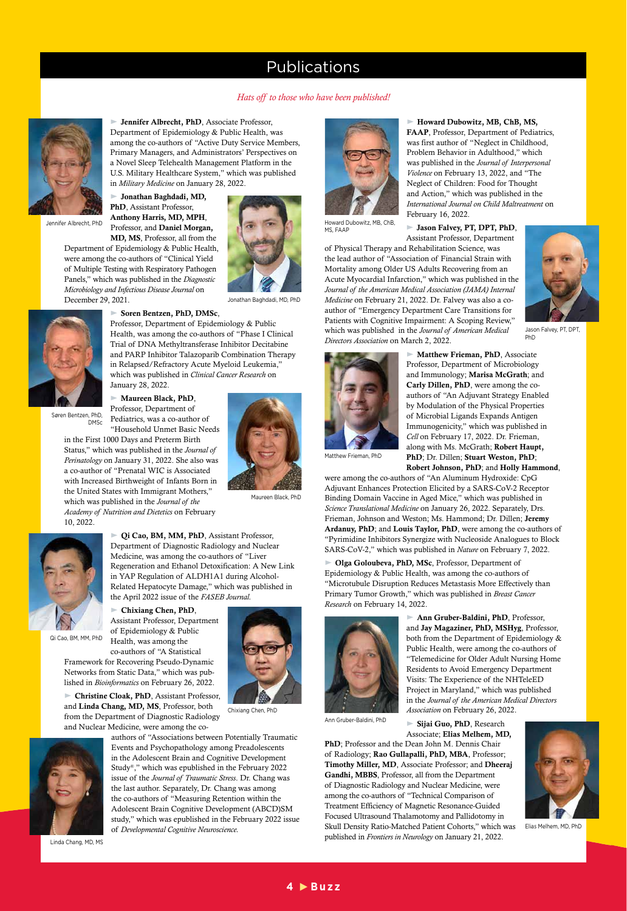

Jennifer Albrecht, PhD, Associate Professor, Department of Epidemiology & Public Health, was among the co-authors of "Active Duty Service Members, Primary Managers, and Administrators' Perspectives on a Novel Sleep Telehealth Management Platform in the U.S. Military Healthcare System," which was published in *Military Medicine* on January 28, 2022.

**Jonathan Baghdadi, MD, PhD**, Assistant Professor, **Anthony Harris, MD, MPH**, Professor, and **Daniel Morgan,** 

Maureen Black, PhD, Professor, Department of Pediatrics, was a co-author of "Household Unmet Basic Needs

**MD, MS**, Professor, all from the Department of Epidemiology & Public Health, were among the co-authors of "Clinical Yield of Multiple Testing with Respiratory Pathogen Panels," which was published in the *Diagnostic Microbiology and Infectious Disease Journal* on December 29, 2021.

> ▶ Qi Cao, BM, MM, PhD, Assistant Professor, Department of Diagnostic Radiology and Nuclear Medicine, was among the co-authors of "Liver

Professor, Department of Epidemiology & Public Health, was among the co-authors of "Phase I Clinical Trial of DNA Methyltransferase Inhibitor Decitabine and PARP Inhibitor Talazoparib Combination Therapy in Relapsed/Refractory Acute Myeloid Leukemia," which was published in *Clinical Cancer Research* on January 28, 2022.

**Fig. 2** Chixiang Chen, PhD, Assistant Professor, Department of Epidemiology & Public

▶ Christine Cloak, PhD, Assistant Professor, and **Linda Chang, MD, MS**, Professor, both from the Department of Diagnostic Radiology and Nuclear Medicine, were among the co-

in the First 1000 Days and Preterm Birth Status," which was published in the *Journal of Perinatology* on January 31, 2022. She also was a co-author of "Prenatal WIC is Associated with Increased Birthweight of Infants Born in the United States with Immigrant Mothers," which was published in the *Journal of the Academy of Nutrition and Dietetics* on February 10, 2022.

**F** Howard Dubowitz, MB, ChB, MS, **FAAP**, Professor, Department of Pediatrics, was first author of "Neglect in Childhood,

Regeneration and Ethanol Detoxification: A New Link in YAP Regulation of ALDH1A1 during Alcohol-Related Hepatocyte Damage," which was published in

Health, was among the co-authors of "A Statistical Framework for Recovering Pseudo-Dynamic

**Matthew Frieman, PhD**, Associate Professor, Department of Microbiology and Immunology; **Marisa McGrath**; and **Carly Dillen, PhD**, were among the coauthors of "An Adjuvant Strategy Enabled by Modulation of the Physical Properties of Microbial Ligands Expands Antigen Immunogenicity," which was published in *Cell* on February 17, 2022. Dr. Frieman, along with Ms. McGrath; **Robert Haupt, PhD**; Dr. Dillen; **Stuart Weston, PhD**;

Networks from Static Data," which was published in *Bioinformatics* on February 26, 2022.

 $\triangleright$  Olga Goloubeva, PhD, MSc, Professor, Department of Epidemiology & Public Health, was among the co-authors of "Microtubule Disruption Reduces Metastasis More Effectively than Primary Tumor Growth," which was published in *Breast Cancer Research* on February 14, 2022.



authors of "Associations between Potentially Traumatic Events and Psychopathology among Preadolescents in the Adolescent Brain and Cognitive Development Study®," which was epublished in the February 2022 issue of the *Journal of Traumatic Stress*. Dr. Chang was the last author. Separately, Dr. Chang was among the co-authors of "Measuring Retention within the Adolescent Brain Cognitive Development (ABCD)SM study," which was epublished in the February 2022 issue of *Developmental Cognitive Neuroscience.*

**Ann Gruber-Baldini, PhD**, Professor, and **Jay Magaziner, PhD, MSHyg**, Professor, both from the Department of Epidemiology & Public Health, were among the co-authors of "Telemedicine for Older Adult Nursing Home Residents to Avoid Emergency Department Visits: The Experience of the NHTeleED Project in Maryland," which was published in the *Journal of the American Medical Directors Association* on February 26, 2022.



**Sijai Guo, PhD**, Research Associate; **Elias Melhem, MD,** 

Problem Behavior in Adulthood," which was published in the *Journal of Interpersonal Violence* on February 13, 2022, and "The Neglect of Children: Food for Thought and Action," which was published in the *International Journal on Child Maltreatment* on February 16, 2022.

► Jason Falvey, PT, DPT, PhD,

Assistant Professor, Department of Physical Therapy and Rehabilitation Science, was the lead author of "Association of Financial Strain with Mortality among Older US Adults Recovering from an Acute Myocardial Infarction," which was published in the *Journal of the American Medical Association (JAMA) Internal Medicine* on February 21, 2022. Dr. Falvey was also a coauthor of "Emergency Department Care Transitions for Patients with Cognitive Impairment: A Scoping Review," which was published in the *Journal of American Medical* 

*Directors Association* on March 2, 2022.



Chixiang Chen, PhD



**Robert Johnson, PhD**; and **Holly Hammond**,

were among the co-authors of "An Aluminum Hydroxide: CpG Adjuvant Enhances Protection Elicited by a SARS-CoV-2 Receptor Binding Domain Vaccine in Aged Mice," which was published in *Science Translational Medicine* on January 26, 2022. Separately, Drs. Frieman, Johnson and Weston; Ms. Hammond; Dr. Dillen; **Jeremy Ardanuy, PhD**; and **Louis Taylor, PhD**, were among the co-authors of "Pyrimidine Inhibitors Synergize with Nucleoside Analogues to Block SARS-CoV-2," which was published in *Nature* on February 7, 2022.

**PhD**; Professor and the Dean John M. Dennis Chair of Radiology; **Rao Gullapalli, PhD, MBA**, Professor; **Timothy Miller, MD**, Associate Professor; and **Dheeraj Gandhi, MBBS**, Professor, all from the Department of Diagnostic Radiology and Nuclear Medicine, were among the co-authors of "Technical Comparison of Treatment Efficiency of Magnetic Resonance-Guided Focused Ultrasound Thalamotomy and Pallidotomy in Skull Density Ratio-Matched Patient Cohorts," which was published in *Frontiers in Neurology* on January 21, 2022.



## *Hats off to those who have been published!*

## Publications





Maureen Black, PhD



Qi Cao, BM, MM, PhD



Jonathan Baghdadi, MD, PhD



**Soren Bentzen, PhD, DMSc,** 

Søren Bentzen, PhD, DMSc

Linda Chang, MD, MS

Howard Dubowitz, MB, ChB, MS, FAAP



Jason Falvey, PT, DPT, PhD



Matthew Frieman, PhD

Ann Gruber-Baldini, PhD

Elias Melhem, MD, PhD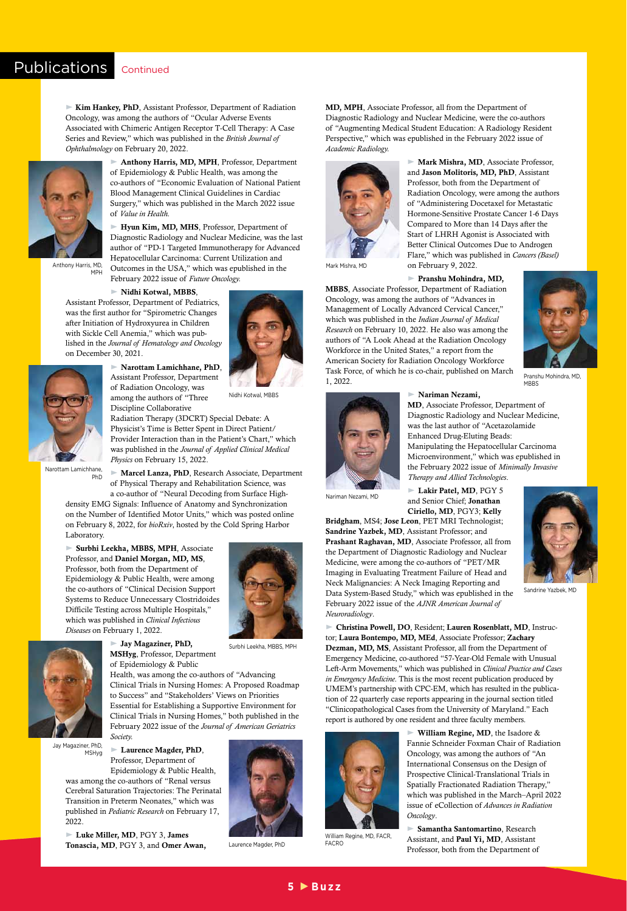**5** <sup>W</sup> **Buzz**

## Publications Continued

J **Kim Hankey, PhD**, Assistant Professor, Department of Radiation Oncology, was among the authors of "Ocular Adverse Events Associated with Chimeric Antigen Receptor T-Cell Therapy: A Case Series and Review," which was published in the *British Journal of Ophthalmology* on February 20, 2022.



**Anthony Harris, MD, MPH**, Professor, Department of Epidemiology & Public Health, was among the co-authors of "Economic Evaluation of National Patient Blood Management Clinical Guidelines in Cardiac Surgery," which was published in the March 2022 issue of *Value in Health.* 

Hyun Kim, MD, MHS, Professor, Department of Diagnostic Radiology and Nuclear Medicine, was the last author of "PD-1 Targeted Immunotherapy for Advanced Hepatocellular Carcinoma: Current Utilization and Outcomes in the USA," which was epublished in the February 2022 issue of *Future Oncology.* 

**Narottam Lamichhane, PhD,** Assistant Professor, Department of Radiation Oncology, was among the authors of "Three Discipline Collaborative

Assistant Professor, Department of Pediatrics, was the first author for "Spirometric Changes after Initiation of Hydroxyurea in Children with Sickle Cell Anemia," which was published in the *Journal of Hematology and Oncology*  on December 30, 2021.



**Surbhi Leekha, MBBS, MPH**, Associate Professor, and **Daniel Morgan, MD, MS**, Professor, both from the Department of Epidemiology & Public Health, were among the co-authors of "Clinical Decision Support Systems to Reduce Unnecessary Clostridoides Difficile Testing across Multiple Hospitals," which was published in *Clinical Infectious Diseases* on February 1, 2022.



**Jay Magaziner, PhD, MSHyg**, Professor, Department of Epidemiology & Public

Radiation Therapy (3DCRT) Special Debate: A Physicist's Time is Better Spent in Direct Patient/ Provider Interaction than in the Patient's Chart," which was published in the *Journal of Applied Clinical Medical Physics* on February 15, 2022.

► Laurence Magder, PhD, Professor, Department of Epidemiology & Public Health, was among the co-authors of "Renal versus Cerebral Saturation Trajectories: The Perinatal Transition in Preterm Neonates," which was published in *Pediatric Research* on February 17, 2022.

▶ Luke Miller, MD, PGY 3, James **Tonascia, MD**, PGY 3, and **Omer Awan,** 



**Mark Mishra, MD**, Associate Professor, and **Jason Molitoris, MD, PhD**, Assistant Professor, both from the Department of Radiation Oncology, were among the authors of "Administering Docetaxel for Metastatic Hormone-Sensitive Prostate Cancer 1-6 Days Compared to More than 14 Days after the Start of LHRH Agonist is Associated with Better Clinical Outcomes Due to Androgen Flare," which was published in *Cancers (Basel)*  on February 9, 2022.

**Pranshu Mohindra, MD, MBBS**, Associate Professor, Department of Radiation Oncology, was among the authors of "Advances in Management of Locally Advanced Cervical Cancer," which was published in the *Indian Journal of Medical Research* on February 10, 2022. He also was among the authors of "A Look Ahead at the Radiation Oncology Workforce in the United States," a report from the American Society for Radiation Oncology Workforce Task Force, of which he is co-chair, published on March

> **Lakir Patel, MD, PGY 5** and Senior Chief; **Jonathan Ciriello, MD**, PGY3; **Kelly**

Health, was among the co-authors of "Advancing Clinical Trials in Nursing Homes: A Proposed Roadmap to Success" and "Stakeholders' Views on Priorities Essential for Establishing a Supportive Environment for

Clinical Trials in Nursing Homes," both published in the February 2022 issue of the *Journal of American Geriatrics Society.* 

 $\blacktriangleright$  William Regine, MD, the Isadore & Fannie Schneider Foxman Chair of Radiation Oncology, was among the authors of "An International Consensus on the Design of Prospective Clinical-Translational Trials in Spatially Fractionated Radiation Therapy," which was published in the March–April 2022 issue of eCollection of *Advances in Radiation Oncology*.

**Samantha Santomartino**, Research Assistant, and **Paul Yi, MD**, Assistant Professor, both from the Department of

**MD, MPH**, Associate Professor, all from the Department of Diagnostic Radiology and Nuclear Medicine, were the co-authors of "Augmenting Medical Student Education: A Radiology Resident Perspective," which was epublished in the February 2022 issue of *Academic Radiology.*



Marcel Lanza, PhD, Research Associate, Department of Physical Therapy and Rehabilitation Science, was a co-author of "Neural Decoding from Surface Highdensity EMG Signals: Influence of Anatomy and Synchronization on the Number of Identified Motor Units," which was posted online on February 8, 2022, for *bioRxiv*, hosted by the Cold Spring Harbor Laboratory. PhD

1, 2022.

**MD**, Associate Professor, Department of Diagnostic Radiology and Nuclear Medicine, was the last author of "Acetazolamide Enhanced Drug-Eluting Beads: Manipulating the Hepatocellular Carcinoma Microenvironment," which was epublished in the February 2022 issue of *Minimally Invasive Therapy and Allied Technologies*.

**Bridgham**, MS4; **Jose Leon**, PET MRI Technologist; **Sandrine Yazbek, MD**, Assistant Professor; and **Prashant Raghavan, MD**, Associate Professor, all from the Department of Diagnostic Radiology and Nuclear Medicine, were among the co-authors of "PET/MR Imaging in Evaluating Treatment Failure of Head and Neck Malignancies: A Neck Imaging Reporting and Data System-Based Study," which was epublished in the February 2022 issue of the *AJNR American Journal of Neuroradiology*.

J **Christina Powell, DO**, Resident; **Lauren Rosenblatt, MD**, Instructor; **Laura Bontempo, MD, MEd**, Associate Professor; **Zachary Dezman, MD, MS**, Assistant Professor, all from the Department of Emergency Medicine, co-authored "57-Year-Old Female with Unusual Left-Arm Movements," which was published in *Clinical Practice and Cases in Emergency Medicine*. This is the most recent publication produced by UMEM's partnership with CPC-EM, which has resulted in the publication of 22 quarterly case reports appearing in the journal section titled "Clinicopathological Cases from the University of Maryland." Each



report is authored by one resident and three faculty members.

Anthony Harris, MD, MPH

**Nidhi Kotwal, MBBS,** 



Pranshu Mohindra, MD, MBBS



#### **Nariman Nezami,**

Nidhi Kotwal, MBBS

Narottam Lamichhane,

Surbhi Leekha, MBBS, MPH

Jay Magaziner, PhD, MSHyg

Laurence Magder, PhD

Mark Mishra, MD

Nariman Nezami, MD



Sandrine Yazbek, MD



William Regine, MD, FACR, FACRO